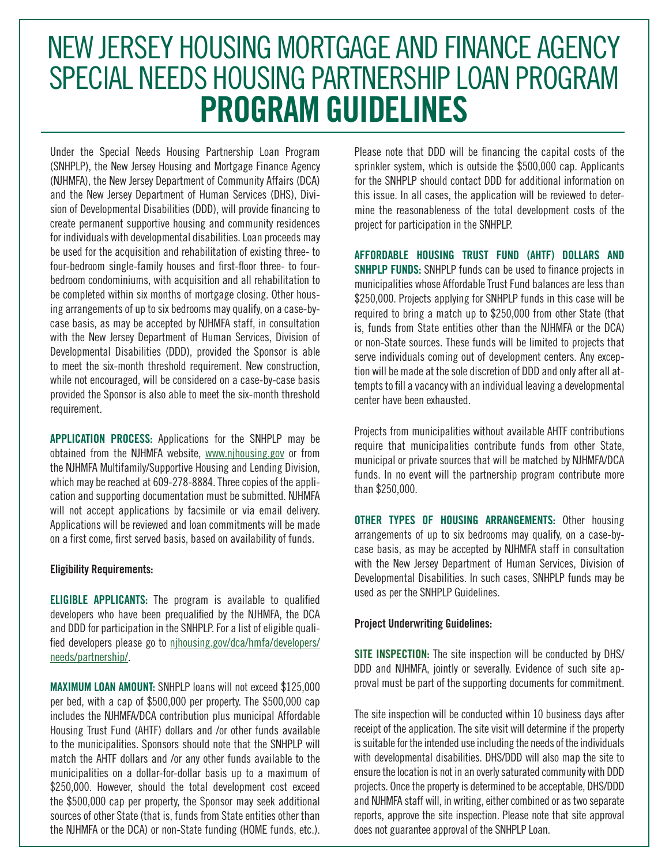# NEW JERSEY HOUSING MORTGAGE AND FINANCE AGENCY SPECIAL NEEDS HOUSING PARTNERSHIP LOAN PROGRAM **PROGRAM GUIDELINES**

Under the Special Needs Housing Partnership Loan Program (SNHPLP), the New Jersey Housing and Mortgage Finance Agency (NJHMFA), the New Jersey Department of Community Affairs (DCA) and the New Jersey Department of Human Services (DHS), Division of Developmental Disabilities (DDD), will provide financing to create permanent supportive housing and community residences for individuals with developmental disabilities. Loan proceeds may be used for the acquisition and rehabilitation of existing three- to four-bedroom single-family houses and first-floor three- to fourbedroom condominiums, with acquisition and all rehabilitation to be completed within six months of mortgage closing. Other housing arrangements of up to six bedrooms may qualify, on a case-bycase basis, as may be accepted by NJHMFA staff, in consultation with the New Jersey Department of Human Services, Division of Developmental Disabilities (DDD), provided the Sponsor is able to meet the six-month threshold requirement. New construction, while not encouraged, will be considered on a case-by-case basis provided the Sponsor is also able to meet the six-month threshold requirement.

**APPLICATION PROCESS:** Applications for the SNHPLP may be obtained from the NJHMFA website, www.njhousing.gov or from the NJHMFA Multifamily/Supportive Housing and Lending Division, which may be reached at 609-278-8884. Three copies of the application and supporting documentation must be submitted. NJHMFA will not accept applications by facsimile or via email delivery. Applications will be reviewed and loan commitments will be made on a first come, first served basis, based on availability of funds.

#### **Eligibility Requirements:**

**ELIGIBLE APPLICANTS:** The program is available to qualified developers who have been prequalified by the NJHMFA, the DCA and DDD for participation in the SNHPLP. For a list of eligible qualified developers please go to njhousing.gov/dca/hmfa/developers/ needs/partnership/.

**MAXIMUM LOAN AMOUNT:** SNHPLP loans will not exceed \$125,000 per bed, with a cap of \$500,000 per property. The \$500,000 cap includes the NJHMFA/DCA contribution plus municipal Affordable Housing Trust Fund (AHTF) dollars and /or other funds available to the municipalities. Sponsors should note that the SNHPLP will match the AHTF dollars and /or any other funds available to the municipalities on a dollar-for-dollar basis up to a maximum of \$250,000. However, should the total development cost exceed the \$500,000 cap per property, the Sponsor may seek additional sources of other State (that is, funds from State entities other than the NJHMFA or the DCA) or non-State funding (HOME funds, etc.). Please note that DDD will be financing the capital costs of the sprinkler system, which is outside the \$500,000 cap. Applicants for the SNHPLP should contact DDD for additional information on this issue. In all cases, the application will be reviewed to determine the reasonableness of the total development costs of the project for participation in the SNHPLP.

**AFFORDABLE HOUSING TRUST FUND (AHTF) DOLLARS AND SNHPLP FUNDS:** SNHPLP funds can be used to finance projects in municipalities whose Affordable Trust Fund balances are less than \$250,000. Projects applying for SNHPLP funds in this case will be required to bring a match up to \$250,000 from other State (that is, funds from State entities other than the NJHMFA or the DCA) or non-State sources. These funds will be limited to projects that serve individuals coming out of development centers. Any exception will be made at the sole discretion of DDD and only after all attempts to fill a vacancy with an individual leaving a developmental center have been exhausted.

Projects from municipalities without available AHTF contributions require that municipalities contribute funds from other State, municipal or private sources that will be matched by NJHMFA/DCA funds. In no event will the partnership program contribute more than \$250,000.

**OTHER TYPES OF HOUSING ARRANGEMENTS:** Other housing arrangements of up to six bedrooms may qualify, on a case-bycase basis, as may be accepted by NJHMFA staff in consultation with the New Jersey Department of Human Services, Division of Developmental Disabilities. In such cases, SNHPLP funds may be used as per the SNHPLP Guidelines.

#### **Project Underwriting Guidelines:**

**SITE INSPECTION:** The site inspection will be conducted by DHS/ DDD and NJHMFA, jointly or severally. Evidence of such site approval must be part of the supporting documents for commitment.

The site inspection will be conducted within 10 business days after receipt of the application. The site visit will determine if the property is suitable for the intended use including the needs of the individuals with developmental disabilities. DHS/DDD will also map the site to ensure the location is not in an overly saturated community with DDD projects. Once the property is determined to be acceptable, DHS/DDD and NJHMFA staff will, in writing, either combined or as two separate reports, approve the site inspection. Please note that site approval does not guarantee approval of the SNHPLP Loan.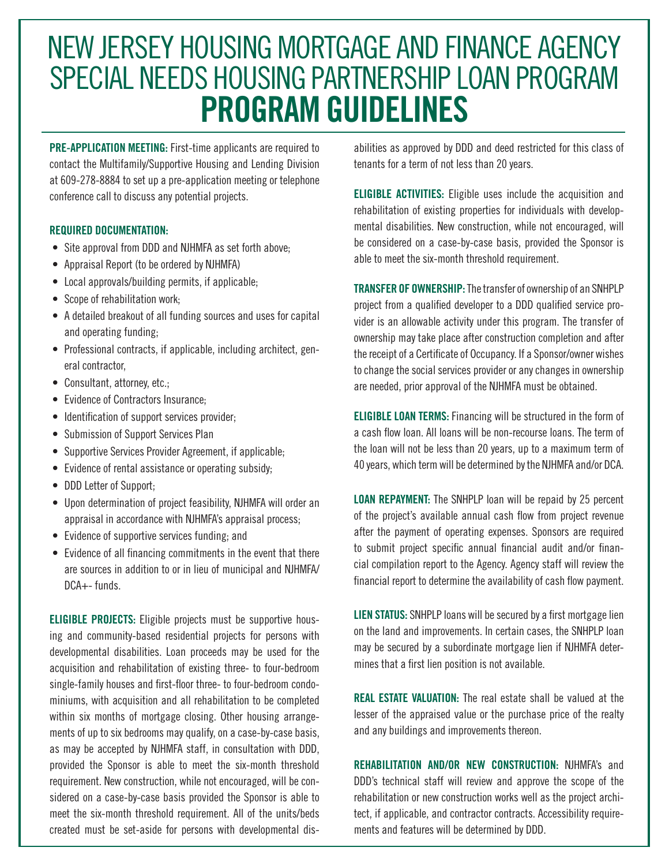# NEW JERSEY HOUSING MORTGAGE AND FINANCE AGENCY SPECIAL NEEDS HOUSING PARTNERSHIP LOAN PROGRAM **PROGRAM GUIDELINES**

**PRE-APPLICATION MEETING:** First-time applicants are required to contact the Multifamily/Supportive Housing and Lending Division at 609-278-8884 to set up a pre-application meeting or telephone conference call to discuss any potential projects.

### **REQUIRED DOCUMENTATION:**

- Site approval from DDD and NJHMFA as set forth above;
- Appraisal Report (to be ordered by NJHMFA)
- Local approvals/building permits, if applicable;
- Scope of rehabilitation work;
- A detailed breakout of all funding sources and uses for capital and operating funding;
- Professional contracts, if applicable, including architect, general contractor,
- Consultant, attorney, etc.;
- Evidence of Contractors Insurance;
- Identification of support services provider;
- Submission of Support Services Plan
- Supportive Services Provider Agreement, if applicable;
- Evidence of rental assistance or operating subsidy;
- DDD Letter of Support;
- Upon determination of project feasibility, NJHMFA will order an appraisal in accordance with NJHMFA's appraisal process;
- Evidence of supportive services funding; and
- Evidence of all financing commitments in the event that there are sources in addition to or in lieu of municipal and NJHMFA/ DCA+- funds.

**ELIGIBLE PROJECTS:** Eligible projects must be supportive housing and community-based residential projects for persons with developmental disabilities. Loan proceeds may be used for the acquisition and rehabilitation of existing three- to four-bedroom single-family houses and first-floor three- to four-bedroom condominiums, with acquisition and all rehabilitation to be completed within six months of mortgage closing. Other housing arrangements of up to six bedrooms may qualify, on a case-by-case basis, as may be accepted by NJHMFA staff, in consultation with DDD, provided the Sponsor is able to meet the six-month threshold requirement. New construction, while not encouraged, will be considered on a case-by-case basis provided the Sponsor is able to meet the six-month threshold requirement. All of the units/beds created must be set-aside for persons with developmental disabilities as approved by DDD and deed restricted for this class of tenants for a term of not less than 20 years.

**ELIGIBLE ACTIVITIES:** Eligible uses include the acquisition and rehabilitation of existing properties for individuals with developmental disabilities. New construction, while not encouraged, will be considered on a case-by-case basis, provided the Sponsor is able to meet the six-month threshold requirement.

**TRANSFER OF OWNERSHIP:** The transfer of ownership of an SNHPLP project from a qualified developer to a DDD qualified service provider is an allowable activity under this program. The transfer of ownership may take place after construction completion and after the receipt of a Certificate of Occupancy. If a Sponsor/owner wishes to change the social services provider or any changes in ownership are needed, prior approval of the NJHMFA must be obtained.

**ELIGIBLE LOAN TERMS:** Financing will be structured in the form of a cash flow loan. All loans will be non-recourse loans. The term of the loan will not be less than 20 years, up to a maximum term of 40 years, which term will be determined by the NJHMFA and/or DCA.

**LOAN REPAYMENT:** The SNHPLP loan will be repaid by 25 percent of the project's available annual cash flow from project revenue after the payment of operating expenses. Sponsors are required to submit project specific annual financial audit and/or financial compilation report to the Agency. Agency staff will review the financial report to determine the availability of cash flow payment.

**LIEN STATUS:** SNHPLP loans will be secured by a first mortgage lien on the land and improvements. In certain cases, the SNHPLP loan may be secured by a subordinate mortgage lien if NJHMFA determines that a first lien position is not available.

**REAL ESTATE VALUATION:** The real estate shall be valued at the lesser of the appraised value or the purchase price of the realty and any buildings and improvements thereon.

**REHABILITATION AND/OR NEW CONSTRUCTION:** NJHMFA's and DDD's technical staff will review and approve the scope of the rehabilitation or new construction works well as the project architect, if applicable, and contractor contracts. Accessibility requirements and features will be determined by DDD.